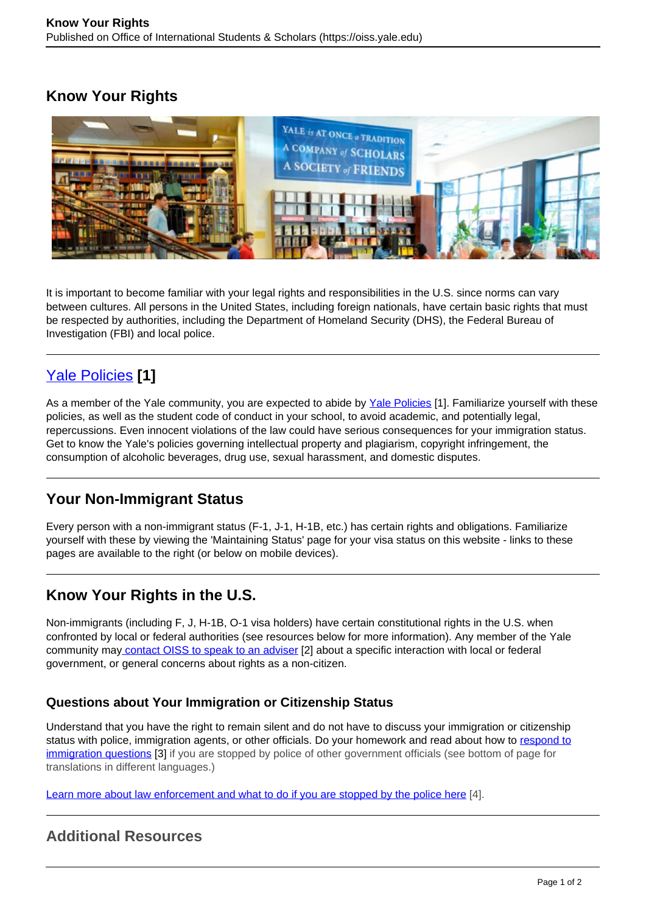## **Know Your Rights**



It is important to become familiar with your legal rights and responsibilities in the U.S. since norms can vary between cultures. All persons in the United States, including foreign nationals, have certain basic rights that must be respected by authorities, including the Department of Homeland Security (DHS), the Federal Bureau of Investigation (FBI) and local police.

# [Yale Policies](https://oiss.yale.edu/campus-community-life/for-students/legal-considerations/yale-policies) **[1]**

As a member of the Yale community, you are expected to abide by Yale Policies [1]. Familiarize yourself with these policies, as well as the student code of conduct in your school, to avoid academic, and potentially legal, repercussions. Even innocent violations of the law could have serious consequences for your immigration status. Get to know the Yale's policies governing intellectual property and plagiarism, copyright infringement, the consumption of alcoholic beverages, drug use, sexual harassment, and domestic disputes.

## **Your Non-Immigrant Status**

Every person with a non-immigrant status (F-1, J-1, H-1B, etc.) has certain rights and obligations. Familiarize yourself with these by viewing the 'Maintaining Status' page for your visa status on this website - links to these pages are available to the right (or below on mobile devices).

## **Know Your Rights in the U.S.**

Non-immigrants (including F, J, H-1B, O-1 visa holders) have certain constitutional rights in the U.S. when confronted by local or federal authorities (see resources below for more information). Any member of the Yale community may contact OISS to speak to an adviser [2] about a specific interaction with local or federal government, or general concerns about rights as a non-citizen.

### **Questions about Your Immigration or Citizenship Status**

Understand that you have the right to remain silent and do not have to discuss your immigration or citizenship status with police, immigration agents, or other officials. Do your homework and read about how to respond to immigration questions [3] if you are stopped by police of other government officials (see bottom of page for translations in different languages.)

Learn more about law enforcement and what to do if you are stopped by the police here [4].

## **Additional Resources**